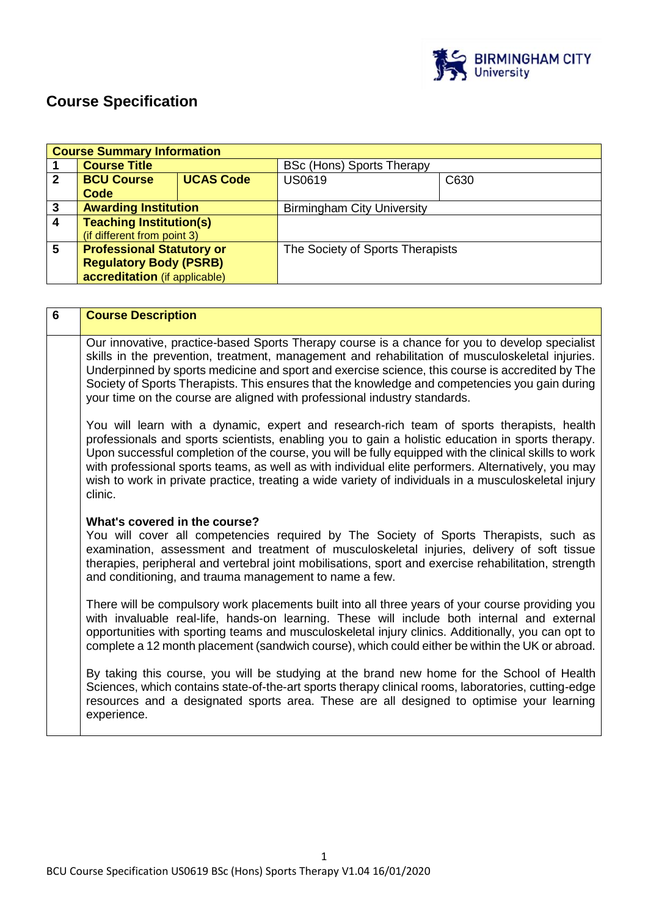

# **Course Specification**

|                | <b>Course Summary Information</b> |                  |                                   |      |
|----------------|-----------------------------------|------------------|-----------------------------------|------|
|                | <b>Course Title</b>               |                  | <b>BSc (Hons) Sports Therapy</b>  |      |
| $\overline{2}$ | <b>BCU Course</b>                 | <b>UCAS Code</b> | <b>US0619</b>                     | C630 |
|                | Code                              |                  |                                   |      |
| 3              | <b>Awarding Institution</b>       |                  | <b>Birmingham City University</b> |      |
| $\overline{4}$ | <b>Teaching Institution(s)</b>    |                  |                                   |      |
|                | (if different from point 3)       |                  |                                   |      |
| 5              | <b>Professional Statutory or</b>  |                  | The Society of Sports Therapists  |      |
|                | <b>Regulatory Body (PSRB)</b>     |                  |                                   |      |
|                | accreditation (if applicable)     |                  |                                   |      |

| 6 | <b>Course Description</b>                                                                                                                                                                                                                                                                                                                                                                                                                                                                                                         |
|---|-----------------------------------------------------------------------------------------------------------------------------------------------------------------------------------------------------------------------------------------------------------------------------------------------------------------------------------------------------------------------------------------------------------------------------------------------------------------------------------------------------------------------------------|
|   | Our innovative, practice-based Sports Therapy course is a chance for you to develop specialist<br>skills in the prevention, treatment, management and rehabilitation of musculoskeletal injuries.<br>Underpinned by sports medicine and sport and exercise science, this course is accredited by The<br>Society of Sports Therapists. This ensures that the knowledge and competencies you gain during<br>your time on the course are aligned with professional industry standards.                                               |
|   | You will learn with a dynamic, expert and research-rich team of sports therapists, health<br>professionals and sports scientists, enabling you to gain a holistic education in sports therapy.<br>Upon successful completion of the course, you will be fully equipped with the clinical skills to work<br>with professional sports teams, as well as with individual elite performers. Alternatively, you may<br>wish to work in private practice, treating a wide variety of individuals in a musculoskeletal injury<br>clinic. |
|   | What's covered in the course?<br>You will cover all competencies required by The Society of Sports Therapists, such as<br>examination, assessment and treatment of musculoskeletal injuries, delivery of soft tissue<br>therapies, peripheral and vertebral joint mobilisations, sport and exercise rehabilitation, strength<br>and conditioning, and trauma management to name a few.                                                                                                                                            |
|   | There will be compulsory work placements built into all three years of your course providing you<br>with invaluable real-life, hands-on learning. These will include both internal and external<br>opportunities with sporting teams and musculoskeletal injury clinics. Additionally, you can opt to<br>complete a 12 month placement (sandwich course), which could either be within the UK or abroad.                                                                                                                          |
|   | By taking this course, you will be studying at the brand new home for the School of Health<br>Sciences, which contains state-of-the-art sports therapy clinical rooms, laboratories, cutting-edge<br>resources and a designated sports area. These are all designed to optimise your learning<br>experience.                                                                                                                                                                                                                      |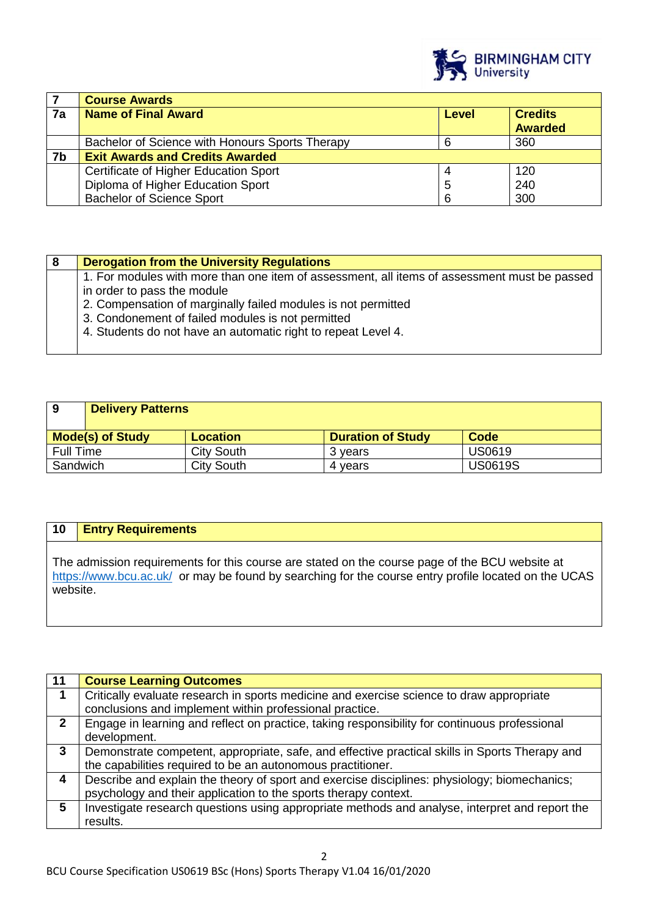

|    | <b>Course Awards</b>                            |       |                |
|----|-------------------------------------------------|-------|----------------|
| 7a | <b>Name of Final Award</b>                      | Level | <b>Credits</b> |
|    |                                                 |       | <b>Awarded</b> |
|    | Bachelor of Science with Honours Sports Therapy |       | 360            |
| 7b | <b>Exit Awards and Credits Awarded</b>          |       |                |
|    | Certificate of Higher Education Sport           |       | 120            |
|    | Diploma of Higher Education Sport               | 5     | 240            |
|    | <b>Bachelor of Science Sport</b>                | 6     | 300            |

| <b>Derogation from the University Regulations</b>                                                                           |
|-----------------------------------------------------------------------------------------------------------------------------|
| 1. For modules with more than one item of assessment, all items of assessment must be passed<br>in order to pass the module |
| 2. Compensation of marginally failed modules is not permitted                                                               |
| 3. Condonement of failed modules is not permitted<br>4. Students do not have an automatic right to repeat Level 4.          |
|                                                                                                                             |

| 9                | <b>Delivery Patterns</b> |                   |                          |                |
|------------------|--------------------------|-------------------|--------------------------|----------------|
|                  | <b>Mode(s) of Study</b>  | <b>Location</b>   | <b>Duration of Study</b> | Code           |
| <b>Full Time</b> |                          | <b>City South</b> | 3 years                  | <b>US0619</b>  |
| Sandwich         |                          | <b>City South</b> | 4 vears                  | <b>US0619S</b> |

## **10 Entry Requirements**

The admission requirements for this course are stated on the course page of the BCU website at <https://www.bcu.ac.uk/>or may be found by searching for the course entry profile located on the UCAS website.

| 11           | <b>Course Learning Outcomes</b>                                                                |
|--------------|------------------------------------------------------------------------------------------------|
|              | Critically evaluate research in sports medicine and exercise science to draw appropriate       |
|              | conclusions and implement within professional practice.                                        |
| $\mathbf{2}$ | Engage in learning and reflect on practice, taking responsibility for continuous professional  |
|              | development.                                                                                   |
| 3            | Demonstrate competent, appropriate, safe, and effective practical skills in Sports Therapy and |
|              | the capabilities required to be an autonomous practitioner.                                    |
| 4            | Describe and explain the theory of sport and exercise disciplines: physiology; biomechanics;   |
|              | psychology and their application to the sports therapy context.                                |
| 5            | Investigate research questions using appropriate methods and analyse, interpret and report the |
|              | results.                                                                                       |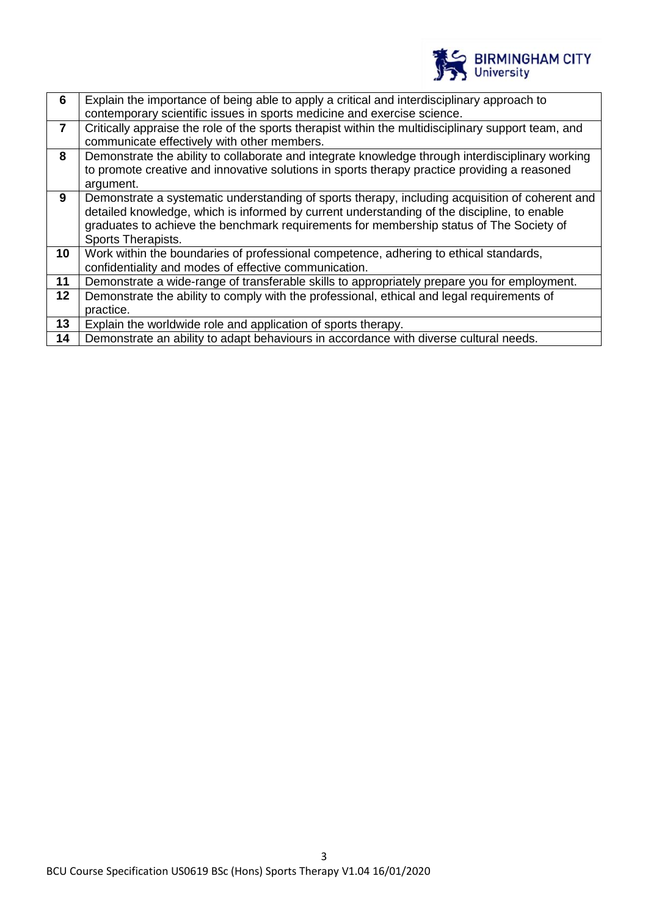

| 6              | Explain the importance of being able to apply a critical and interdisciplinary approach to          |
|----------------|-----------------------------------------------------------------------------------------------------|
|                | contemporary scientific issues in sports medicine and exercise science.                             |
| $\overline{7}$ | Critically appraise the role of the sports therapist within the multidisciplinary support team, and |
|                | communicate effectively with other members.                                                         |
| 8              | Demonstrate the ability to collaborate and integrate knowledge through interdisciplinary working    |
|                | to promote creative and innovative solutions in sports therapy practice providing a reasoned        |
|                | argument.                                                                                           |
| 9              | Demonstrate a systematic understanding of sports therapy, including acquisition of coherent and     |
|                | detailed knowledge, which is informed by current understanding of the discipline, to enable         |
|                | graduates to achieve the benchmark requirements for membership status of The Society of             |
|                | Sports Therapists.                                                                                  |
| 10             | Work within the boundaries of professional competence, adhering to ethical standards,               |
|                | confidentiality and modes of effective communication.                                               |
| 11             | Demonstrate a wide-range of transferable skills to appropriately prepare you for employment.        |
| $12 \,$        | Demonstrate the ability to comply with the professional, ethical and legal requirements of          |
|                | practice.                                                                                           |
| 13             | Explain the worldwide role and application of sports therapy.                                       |
| 14             | Demonstrate an ability to adapt behaviours in accordance with diverse cultural needs.               |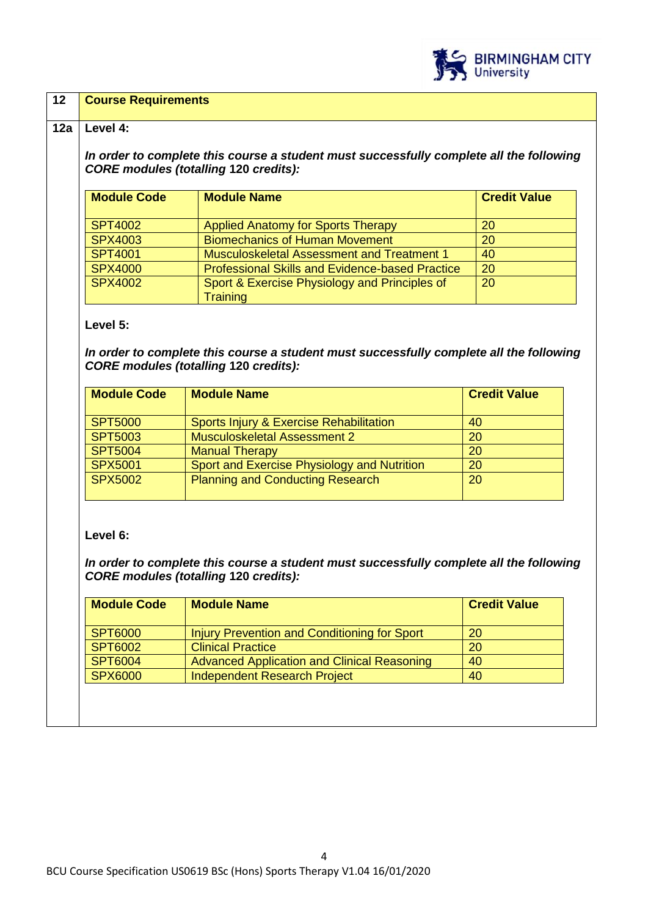

#### **12 Course Requirements**

#### **12a Level 4:**

*In order to complete this course a student must successfully complete all the following CORE modules (totalling* **120** *credits):*

| <b>Module Code</b> | <b>Module Name</b>                                     | <b>Credit Value</b> |
|--------------------|--------------------------------------------------------|---------------------|
|                    |                                                        |                     |
| <b>SPT4002</b>     | <b>Applied Anatomy for Sports Therapy</b>              | 20                  |
| <b>SPX4003</b>     | <b>Biomechanics of Human Movement</b>                  | 20                  |
| <b>SPT4001</b>     | <b>Musculoskeletal Assessment and Treatment 1</b>      | 40                  |
| <b>SPX4000</b>     | <b>Professional Skills and Evidence-based Practice</b> | 20                  |
| <b>SPX4002</b>     | Sport & Exercise Physiology and Principles of          | 20                  |
|                    | <b>Training</b>                                        |                     |

#### **Level 5:**

*In order to complete this course a student must successfully complete all the following CORE modules (totalling* **120** *credits):*

| <b>Module Name</b>                          | <b>Credit Value</b> |
|---------------------------------------------|---------------------|
| Sports Injury & Exercise Rehabilitation     | 40                  |
| <b>Musculoskeletal Assessment 2</b>         | 20                  |
| <b>Manual Therapy</b>                       | <b>20</b>           |
| Sport and Exercise Physiology and Nutrition | 20                  |
| <b>Planning and Conducting Research</b>     | 20                  |
|                                             |                     |

#### **Level 6:**

*In order to complete this course a student must successfully complete all the following CORE modules (totalling* **120** *credits):*

| <b>Module Name</b>                                  | <b>Credit Value</b> |
|-----------------------------------------------------|---------------------|
| <b>Injury Prevention and Conditioning for Sport</b> | 20                  |
| <b>Clinical Practice</b>                            | <b>20</b>           |
| <b>Advanced Application and Clinical Reasoning</b>  | 40                  |
| <b>Independent Research Project</b>                 | 40                  |
|                                                     |                     |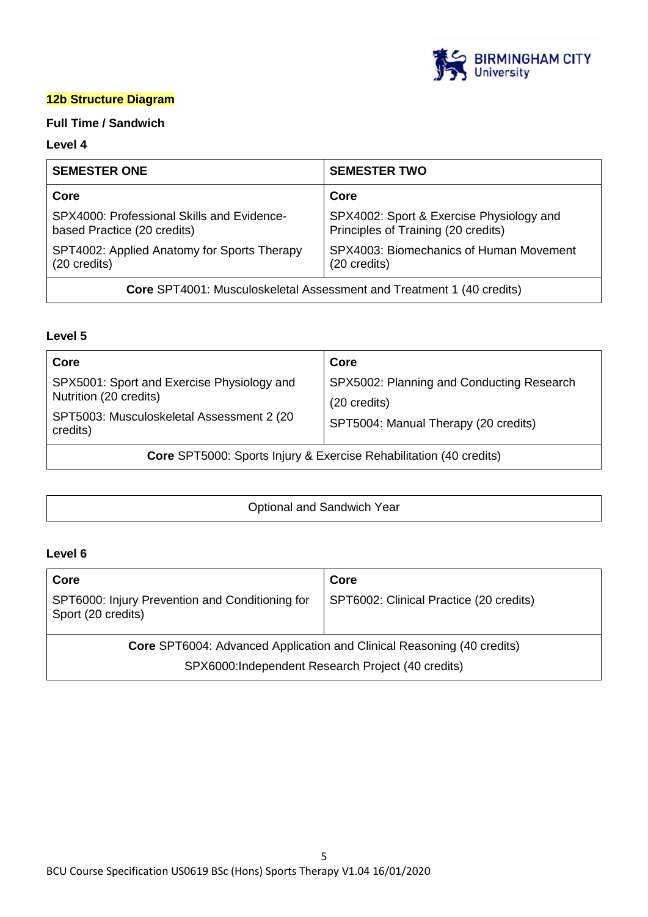

## **12b Structure Diagram**

## **Full Time / Sandwich**

#### **Level 4**

| <b>SEMESTER ONE</b>                                                          | <b>SEMESTER TWO</b>                                                             |  |
|------------------------------------------------------------------------------|---------------------------------------------------------------------------------|--|
| Core                                                                         | Core                                                                            |  |
| SPX4000: Professional Skills and Evidence-<br>based Practice (20 credits)    | SPX4002: Sport & Exercise Physiology and<br>Principles of Training (20 credits) |  |
| SPT4002: Applied Anatomy for Sports Therapy<br>(20 credits)                  | SPX4003: Biomechanics of Human Movement<br>(20 credits)                         |  |
| <b>Core</b> SPT4001: Musculoskeletal Assessment and Treatment 1 (40 credits) |                                                                                 |  |

#### **Level 5**

| Core                                                                                                                           | Core                                                                                              |  |
|--------------------------------------------------------------------------------------------------------------------------------|---------------------------------------------------------------------------------------------------|--|
| SPX5001: Sport and Exercise Physiology and<br>Nutrition (20 credits)<br>SPT5003: Musculoskeletal Assessment 2 (20)<br>credits) | SPX5002: Planning and Conducting Research<br>(20 credits)<br>SPT5004: Manual Therapy (20 credits) |  |
| <b>Core SPT5000: Sports Injury &amp; Exercise Rehabilitation (40 credits)</b>                                                  |                                                                                                   |  |

|  | Optional and Sandwich Year |
|--|----------------------------|
|--|----------------------------|

## **Level 6**

| Core                                                                          | Core                                    |
|-------------------------------------------------------------------------------|-----------------------------------------|
| SPT6000: Injury Prevention and Conditioning for<br>Sport (20 credits)         | SPT6002: Clinical Practice (20 credits) |
| <b>Core</b> SPT6004: Advanced Application and Clinical Reasoning (40 credits) |                                         |
| SPX6000:Independent Research Project (40 credits)                             |                                         |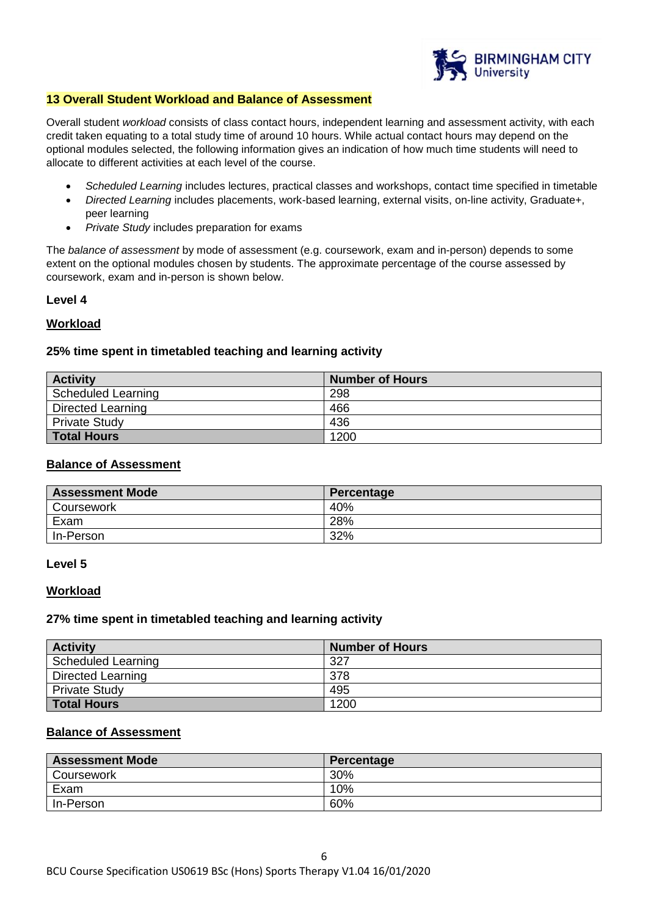

#### **13 Overall Student Workload and Balance of Assessment**

Overall student *workload* consists of class contact hours, independent learning and assessment activity, with each credit taken equating to a total study time of around 10 hours. While actual contact hours may depend on the optional modules selected, the following information gives an indication of how much time students will need to allocate to different activities at each level of the course.

- *Scheduled Learning* includes lectures, practical classes and workshops, contact time specified in timetable
- *Directed Learning* includes placements, work-based learning, external visits, on-line activity, Graduate+, peer learning
- *Private Study* includes preparation for exams

The *balance of assessment* by mode of assessment (e.g. coursework, exam and in-person) depends to some extent on the optional modules chosen by students. The approximate percentage of the course assessed by coursework, exam and in-person is shown below.

#### **Level 4**

#### **Workload**

#### **25% time spent in timetabled teaching and learning activity**

| <b>Activity</b>          | <b>Number of Hours</b> |
|--------------------------|------------------------|
| Scheduled Learning       | 298                    |
| <b>Directed Learning</b> | 466                    |
| <b>Private Study</b>     | 436                    |
| <b>Total Hours</b>       | 1200                   |

#### **Balance of Assessment**

| <b>Assessment Mode</b> | Percentage |
|------------------------|------------|
| Coursework             | 40%        |
| Exam                   | 28%        |
| In-Person              | 32%        |

#### **Level 5**

#### **Workload**

#### **27% time spent in timetabled teaching and learning activity**

| <b>Activity</b>      | <b>Number of Hours</b> |
|----------------------|------------------------|
| Scheduled Learning   | 327                    |
| Directed Learning    | 378                    |
| <b>Private Study</b> | 495                    |
| <b>Total Hours</b>   | 1200                   |

### **Balance of Assessment**

| <b>Assessment Mode</b> | Percentage |
|------------------------|------------|
| Coursework             | 30%        |
| Exam                   | 10%        |
| In-Person              | 60%        |